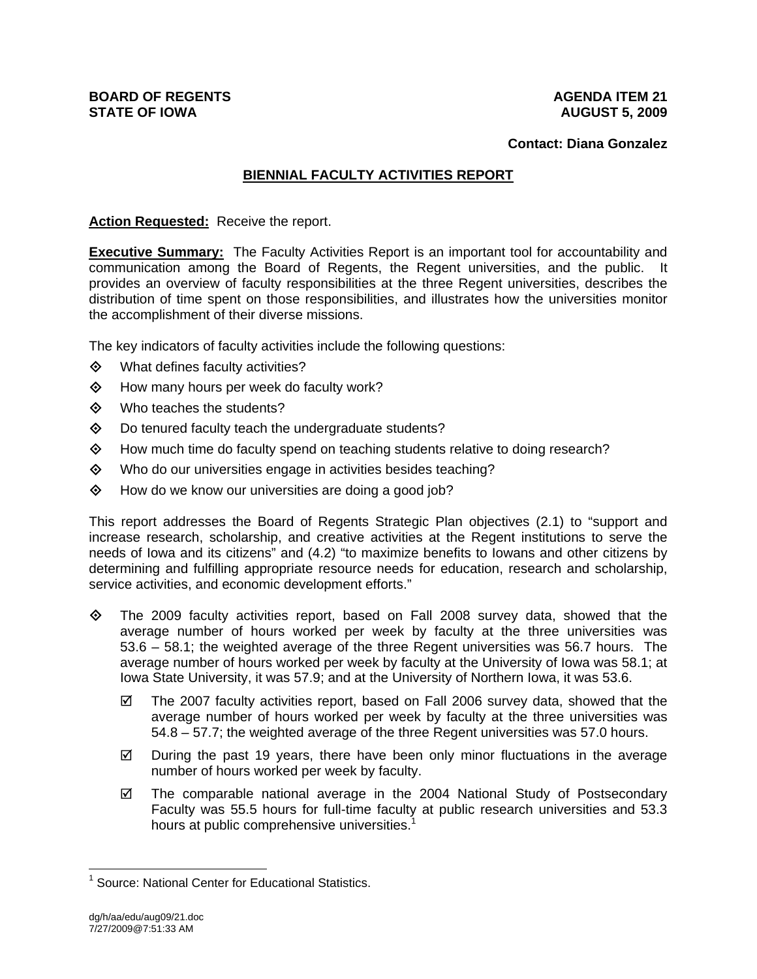#### **Contact: Diana Gonzalez**

# **BIENNIAL FACULTY ACTIVITIES REPORT**

#### **Action Requested:** Receive the report.

**Executive Summary:** The Faculty Activities Report is an important tool for accountability and communication among the Board of Regents, the Regent universities, and the public. It provides an overview of faculty responsibilities at the three Regent universities, describes the distribution of time spent on those responsibilities, and illustrates how the universities monitor the accomplishment of their diverse missions.

The key indicators of faculty activities include the following questions:

- $\diamond$  What defines faculty activities?
- How many hours per week do faculty work?
- Who teaches the students?
- $\diamond$  Do tenured faculty teach the undergraduate students?
- $\diamond$  How much time do faculty spend on teaching students relative to doing research?
- Who do our universities engage in activities besides teaching?
- $\diamond$  How do we know our universities are doing a good job?

This report addresses the Board of Regents Strategic Plan objectives (2.1) to "support and increase research, scholarship, and creative activities at the Regent institutions to serve the needs of Iowa and its citizens" and (4.2) "to maximize benefits to Iowans and other citizens by determining and fulfilling appropriate resource needs for education, research and scholarship, service activities, and economic development efforts."

- $\Diamond$  The 2009 faculty activities report, based on Fall 2008 survey data, showed that the average number of hours worked per week by faculty at the three universities was 53.6 – 58.1; the weighted average of the three Regent universities was 56.7 hours. The average number of hours worked per week by faculty at the University of Iowa was 58.1; at Iowa State University, it was 57.9; and at the University of Northern Iowa, it was 53.6.
	- $\boxtimes$  The 2007 faculty activities report, based on Fall 2006 survey data, showed that the average number of hours worked per week by faculty at the three universities was 54.8 – 57.7; the weighted average of the three Regent universities was 57.0 hours.
	- $\boxtimes$  During the past 19 years, there have been only minor fluctuations in the average number of hours worked per week by faculty.
	- $\boxtimes$  The comparable national average in the 2004 National Study of Postsecondary Faculty was 55.5 hours for full-time faculty at public research universities and 53.3 hours at public comprehensive universities.<sup>1</sup>

 $\overline{a}$ 

<sup>&</sup>lt;sup>1</sup> Source: National Center for Educational Statistics.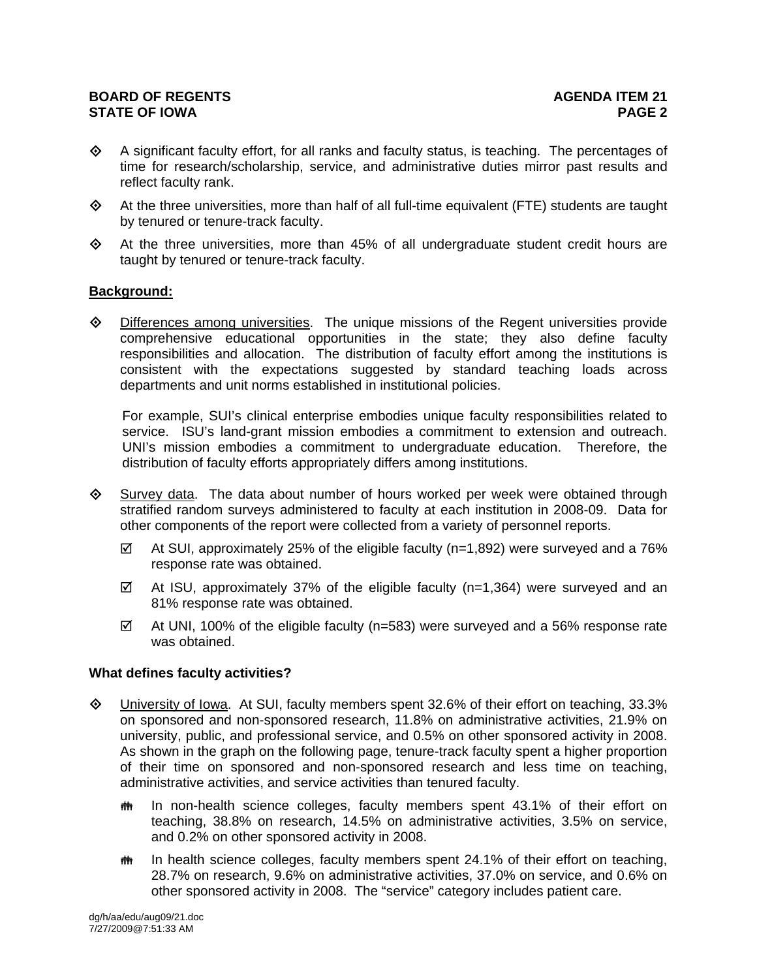- $\diamond$  A significant faculty effort, for all ranks and faculty status, is teaching. The percentages of time for research/scholarship, service, and administrative duties mirror past results and reflect faculty rank.
- $\Leftrightarrow$  At the three universities, more than half of all full-time equivalent (FTE) students are taught by tenured or tenure-track faculty.
- $\Diamond$  At the three universities, more than 45% of all undergraduate student credit hours are taught by tenured or tenure-track faculty.

#### **Background:**

 $\Diamond$  Differences among universities. The unique missions of the Regent universities provide comprehensive educational opportunities in the state; they also define faculty responsibilities and allocation. The distribution of faculty effort among the institutions is consistent with the expectations suggested by standard teaching loads across departments and unit norms established in institutional policies.

For example, SUI's clinical enterprise embodies unique faculty responsibilities related to service. ISU's land-grant mission embodies a commitment to extension and outreach. UNI's mission embodies a commitment to undergraduate education. Therefore, the distribution of faculty efforts appropriately differs among institutions.

- $\diamondsuit$  Survey data. The data about number of hours worked per week were obtained through stratified random surveys administered to faculty at each institution in 2008-09. Data for other components of the report were collected from a variety of personnel reports.
	- $\boxtimes$  At SUI, approximately 25% of the eligible faculty (n=1,892) were surveyed and a 76% response rate was obtained.
	- $\boxtimes$  At ISU, approximately 37% of the eligible faculty (n=1,364) were surveyed and an 81% response rate was obtained.
	- $\boxtimes$  At UNI, 100% of the eligible faculty (n=583) were surveyed and a 56% response rate was obtained.

#### **What defines faculty activities?**

- University of Iowa. At SUI, faculty members spent 32.6% of their effort on teaching, 33.3% on sponsored and non-sponsored research, 11.8% on administrative activities, 21.9% on university, public, and professional service, and 0.5% on other sponsored activity in 2008. As shown in the graph on the following page, tenure-track faculty spent a higher proportion of their time on sponsored and non-sponsored research and less time on teaching, administrative activities, and service activities than tenured faculty.
	- **# In non-health science colleges, faculty members spent 43.1% of their effort on** teaching, 38.8% on research, 14.5% on administrative activities, 3.5% on service, and 0.2% on other sponsored activity in 2008.
	- **##** In health science colleges, faculty members spent 24.1% of their effort on teaching, 28.7% on research, 9.6% on administrative activities, 37.0% on service, and 0.6% on other sponsored activity in 2008. The "service" category includes patient care.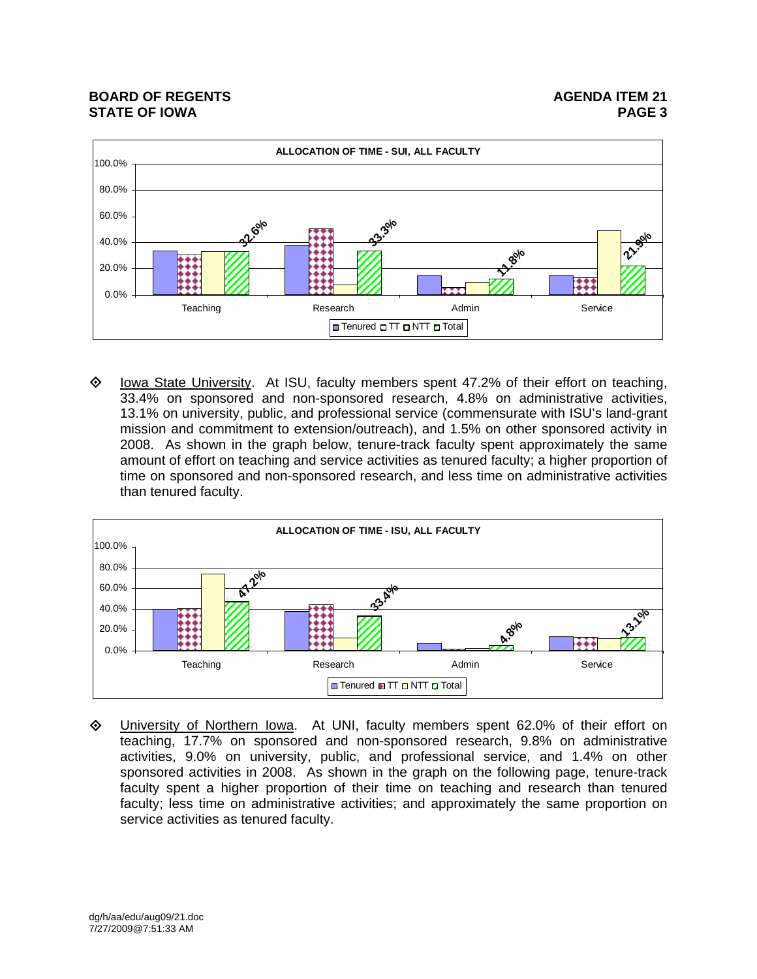

 $\diamond$  Iowa State University. At ISU, faculty members spent 47.2% of their effort on teaching, 33.4% on sponsored and non-sponsored research, 4.8% on administrative activities, 13.1% on university, public, and professional service (commensurate with ISU's land-grant mission and commitment to extension/outreach), and 1.5% on other sponsored activity in 2008. As shown in the graph below, tenure-track faculty spent approximately the same amount of effort on teaching and service activities as tenured faculty; a higher proportion of time on sponsored and non-sponsored research, and less time on administrative activities than tenured faculty.



◆ University of Northern lowa. At UNI, faculty members spent 62.0% of their effort on teaching, 17.7% on sponsored and non-sponsored research, 9.8% on administrative activities, 9.0% on university, public, and professional service, and 1.4% on other sponsored activities in 2008. As shown in the graph on the following page, tenure-track faculty spent a higher proportion of their time on teaching and research than tenured faculty; less time on administrative activities; and approximately the same proportion on service activities as tenured faculty.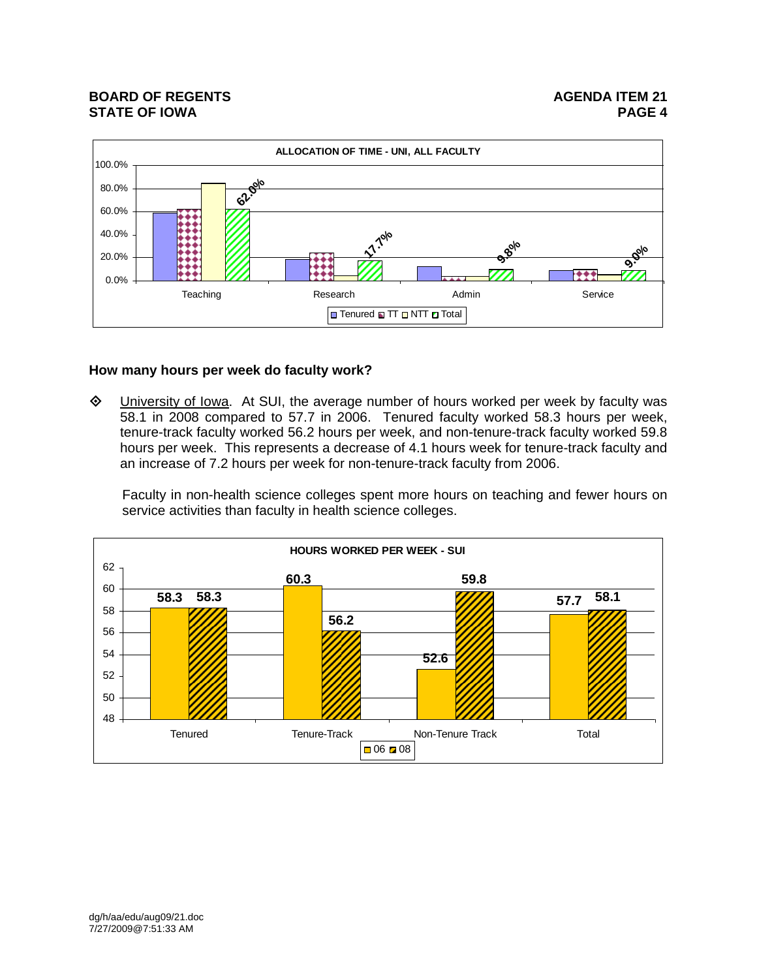

## **How many hours per week do faculty work?**

 University of Iowa. At SUI, the average number of hours worked per week by faculty was 58.1 in 2008 compared to 57.7 in 2006. Tenured faculty worked 58.3 hours per week, tenure-track faculty worked 56.2 hours per week, and non-tenure-track faculty worked 59.8 hours per week. This represents a decrease of 4.1 hours week for tenure-track faculty and an increase of 7.2 hours per week for non-tenure-track faculty from 2006.

Faculty in non-health science colleges spent more hours on teaching and fewer hours on service activities than faculty in health science colleges.

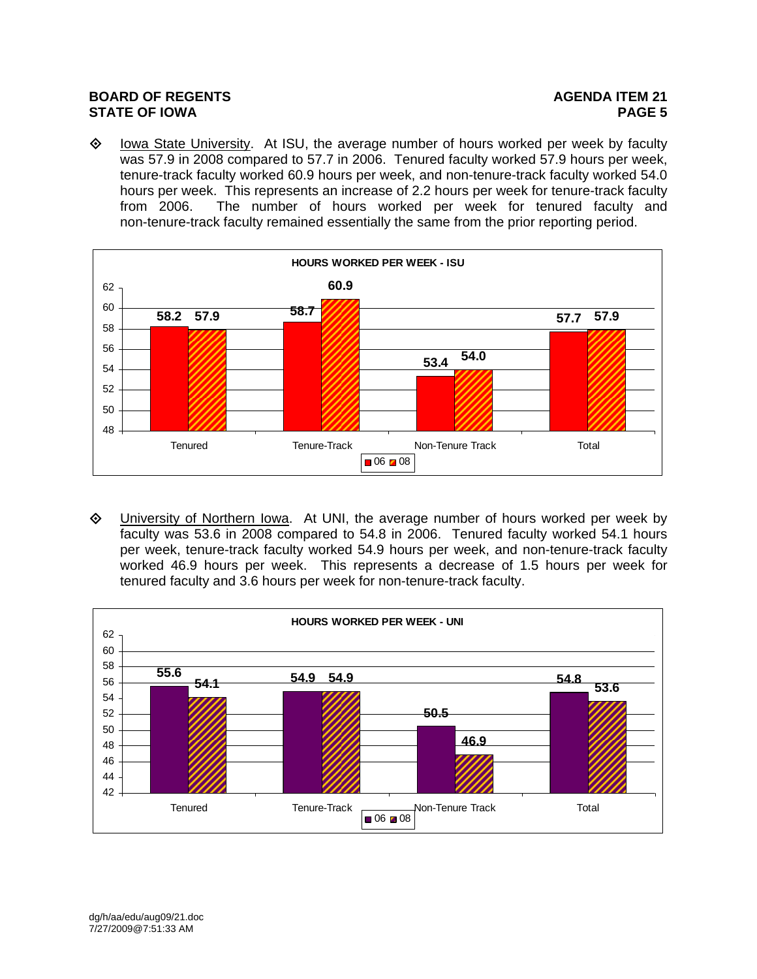$\diamond$  Iowa State University. At ISU, the average number of hours worked per week by faculty was 57.9 in 2008 compared to 57.7 in 2006. Tenured faculty worked 57.9 hours per week, tenure-track faculty worked 60.9 hours per week, and non-tenure-track faculty worked 54.0 hours per week. This represents an increase of 2.2 hours per week for tenure-track faculty from 2006. The number of hours worked per week for tenured faculty and non-tenure-track faculty remained essentially the same from the prior reporting period.



 University of Northern Iowa. At UNI, the average number of hours worked per week by faculty was 53.6 in 2008 compared to 54.8 in 2006. Tenured faculty worked 54.1 hours per week, tenure-track faculty worked 54.9 hours per week, and non-tenure-track faculty worked 46.9 hours per week. This represents a decrease of 1.5 hours per week for tenured faculty and 3.6 hours per week for non-tenure-track faculty.

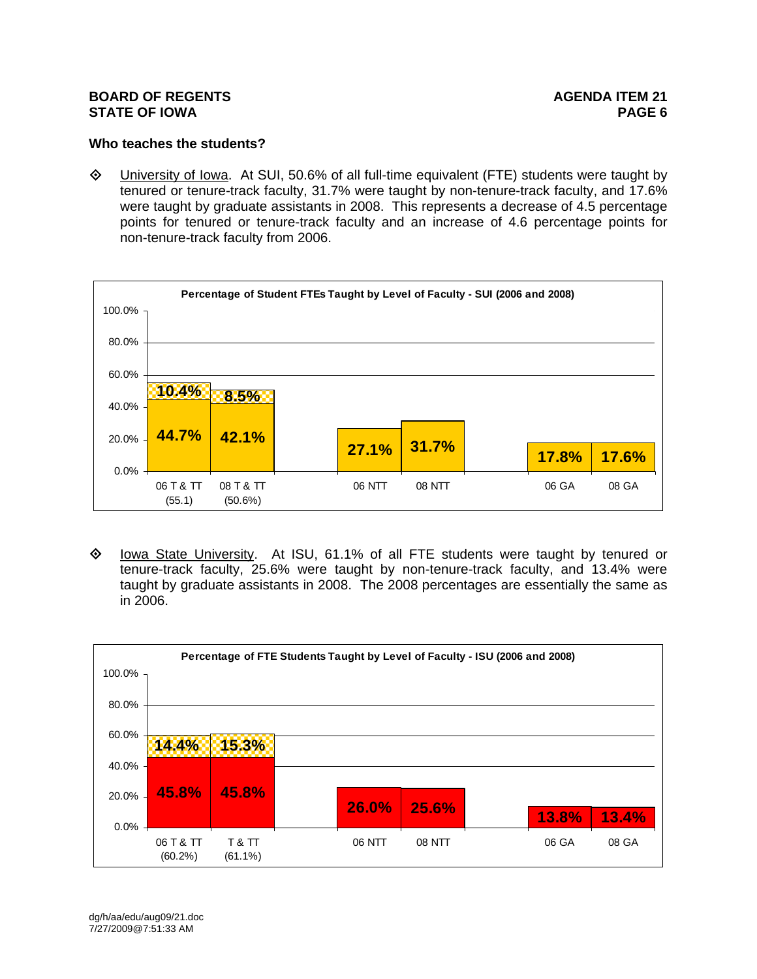# **Who teaches the students?**

 $\Diamond$  University of Iowa. At SUI, 50.6% of all full-time equivalent (FTE) students were taught by tenured or tenure-track faculty, 31.7% were taught by non-tenure-track faculty, and 17.6% were taught by graduate assistants in 2008. This represents a decrease of 4.5 percentage points for tenured or tenure-track faculty and an increase of 4.6 percentage points for non-tenure-track faculty from 2006.



◆ lowa State University. At ISU, 61.1% of all FTE students were taught by tenured or tenure-track faculty, 25.6% were taught by non-tenure-track faculty, and 13.4% were taught by graduate assistants in 2008. The 2008 percentages are essentially the same as in 2006.

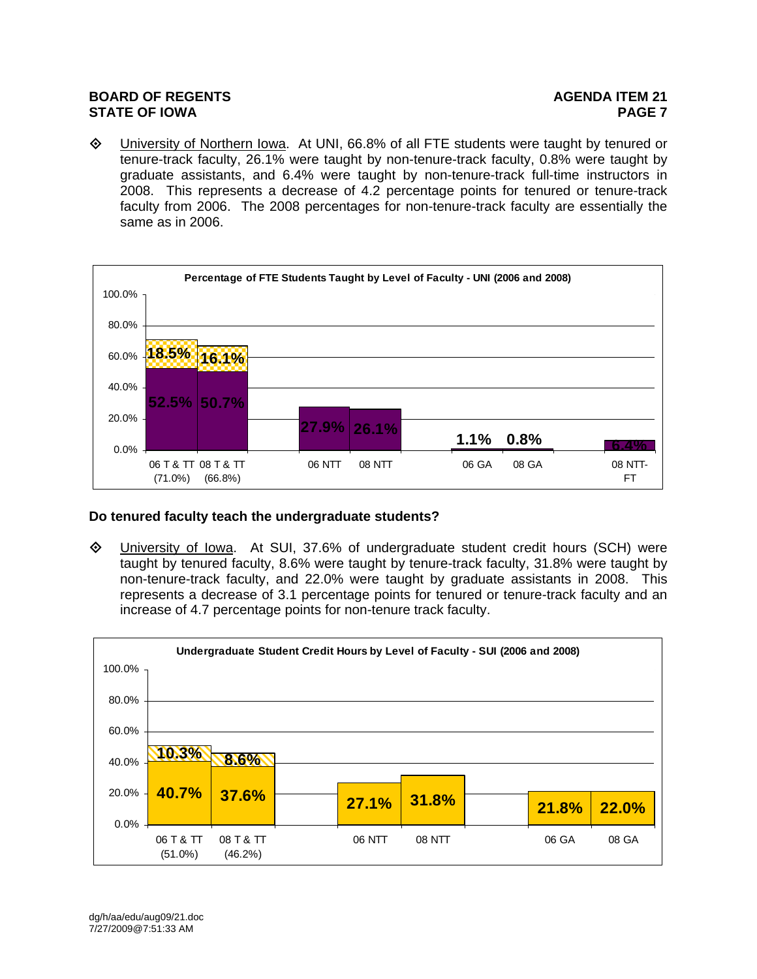University of Northern Iowa. At UNI, 66.8% of all FTE students were taught by tenured or tenure-track faculty, 26.1% were taught by non-tenure-track faculty, 0.8% were taught by graduate assistants, and 6.4% were taught by non-tenure-track full-time instructors in 2008. This represents a decrease of 4.2 percentage points for tenured or tenure-track faculty from 2006. The 2008 percentages for non-tenure-track faculty are essentially the same as in 2006.



# **Do tenured faculty teach the undergraduate students?**

 University of Iowa. At SUI, 37.6% of undergraduate student credit hours (SCH) were taught by tenured faculty, 8.6% were taught by tenure-track faculty, 31.8% were taught by non-tenure-track faculty, and 22.0% were taught by graduate assistants in 2008. This represents a decrease of 3.1 percentage points for tenured or tenure-track faculty and an increase of 4.7 percentage points for non-tenure track faculty.

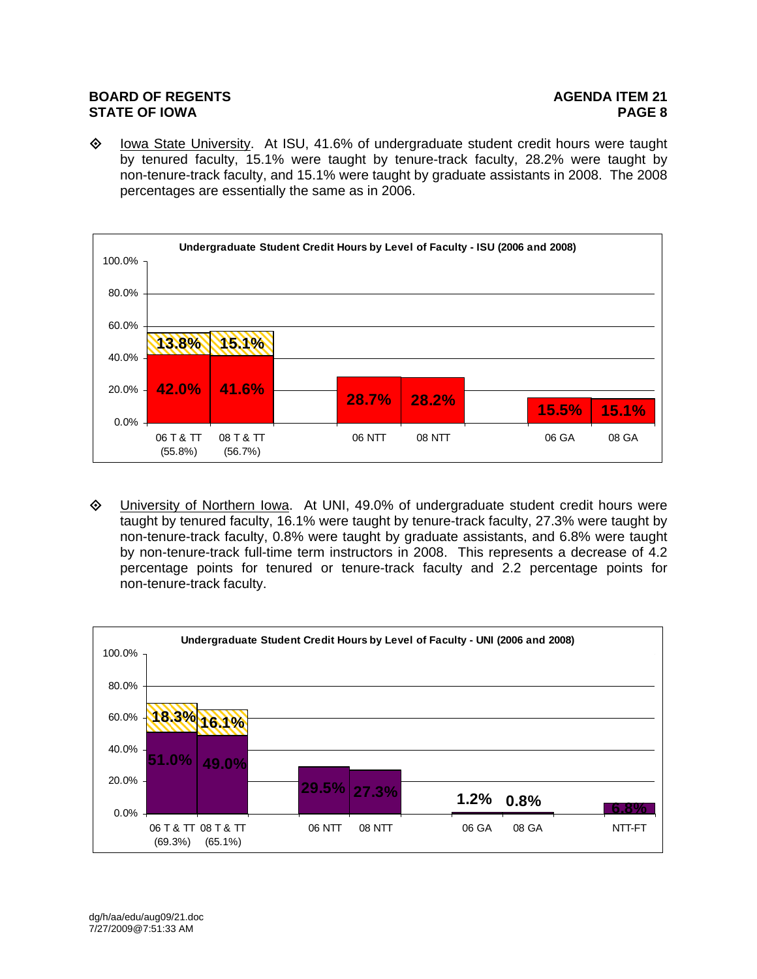$\Diamond$  Iowa State University. At ISU, 41.6% of undergraduate student credit hours were taught by tenured faculty, 15.1% were taught by tenure-track faculty, 28.2% were taught by non-tenure-track faculty, and 15.1% were taught by graduate assistants in 2008. The 2008 percentages are essentially the same as in 2006.



 University of Northern Iowa. At UNI, 49.0% of undergraduate student credit hours were taught by tenured faculty, 16.1% were taught by tenure-track faculty, 27.3% were taught by non-tenure-track faculty, 0.8% were taught by graduate assistants, and 6.8% were taught by non-tenure-track full-time term instructors in 2008. This represents a decrease of 4.2 percentage points for tenured or tenure-track faculty and 2.2 percentage points for non-tenure-track faculty.

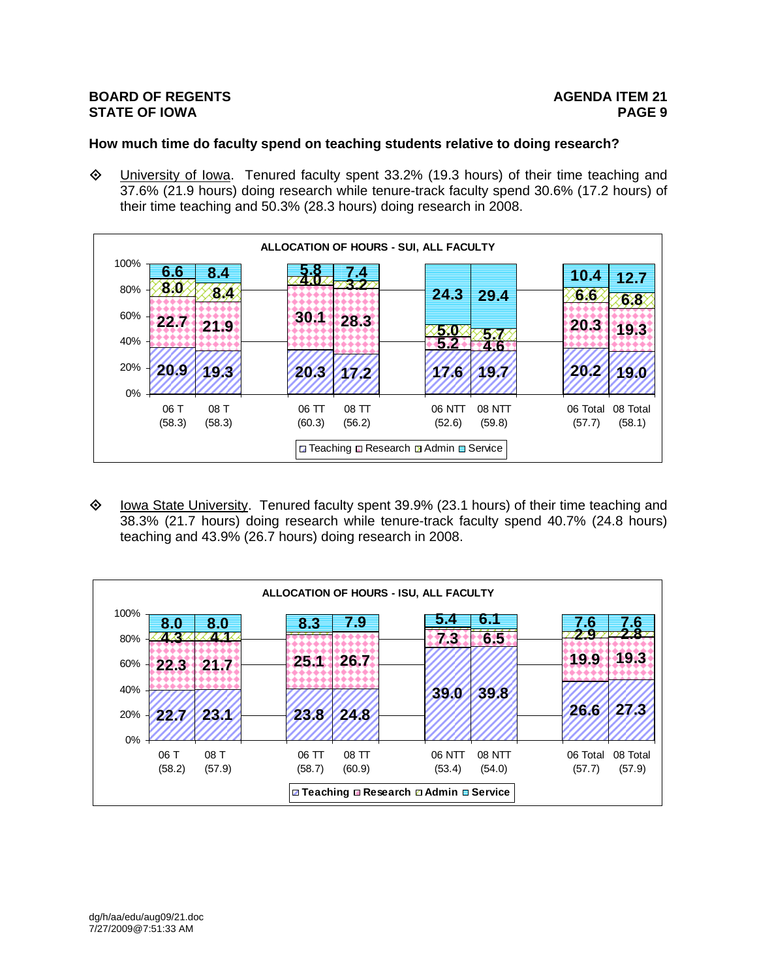# **How much time do faculty spend on teaching students relative to doing research?**

 $\Diamond$  University of Iowa. Tenured faculty spent 33.2% (19.3 hours) of their time teaching and 37.6% (21.9 hours) doing research while tenure-track faculty spend 30.6% (17.2 hours) of their time teaching and 50.3% (28.3 hours) doing research in 2008.



 $\Diamond$  Iowa State University. Tenured faculty spent 39.9% (23.1 hours) of their time teaching and 38.3% (21.7 hours) doing research while tenure-track faculty spend 40.7% (24.8 hours) teaching and 43.9% (26.7 hours) doing research in 2008.

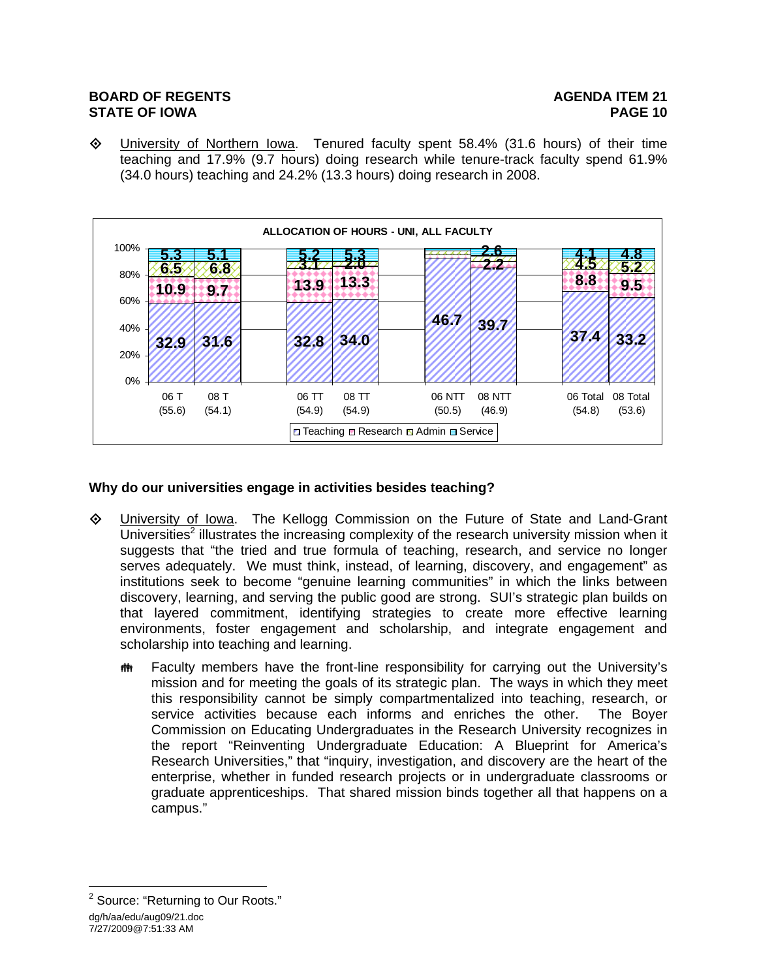$\Diamond$  University of Northern Iowa. Tenured faculty spent 58.4% (31.6 hours) of their time teaching and 17.9% (9.7 hours) doing research while tenure-track faculty spend 61.9% (34.0 hours) teaching and 24.2% (13.3 hours) doing research in 2008.



# **Why do our universities engage in activities besides teaching?**

- University of Iowa. The Kellogg Commission on the Future of State and Land-Grant Universities<sup>2</sup> illustrates the increasing complexity of the research university mission when it suggests that "the tried and true formula of teaching, research, and service no longer serves adequately. We must think, instead, of learning, discovery, and engagement" as institutions seek to become "genuine learning communities" in which the links between discovery, learning, and serving the public good are strong. SUI's strategic plan builds on that layered commitment, identifying strategies to create more effective learning environments, foster engagement and scholarship, and integrate engagement and scholarship into teaching and learning.
	- **##** Faculty members have the front-line responsibility for carrying out the University's mission and for meeting the goals of its strategic plan. The ways in which they meet this responsibility cannot be simply compartmentalized into teaching, research, or service activities because each informs and enriches the other. The Boyer Commission on Educating Undergraduates in the Research University recognizes in the report "Reinventing Undergraduate Education: A Blueprint for America's Research Universities," that "inquiry, investigation, and discovery are the heart of the enterprise, whether in funded research projects or in undergraduate classrooms or graduate apprenticeships. That shared mission binds together all that happens on a campus."

dg/h/aa/edu/aug09/21.doc 7/27/2009@7:51:33 AM  $\overline{a}$ <sup>2</sup> Source: "Returning to Our Roots."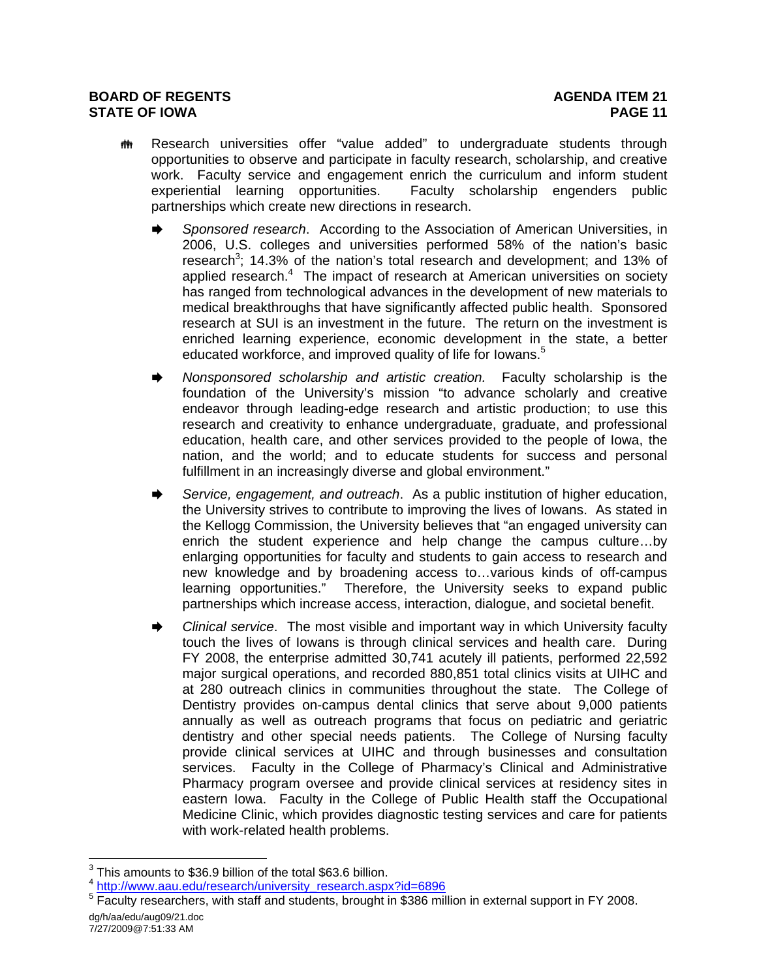- **##** Research universities offer "value added" to undergraduate students through opportunities to observe and participate in faculty research, scholarship, and creative work. Faculty service and engagement enrich the curriculum and inform student experiential learning opportunities. Faculty scholarship engenders public partnerships which create new directions in research.
	- *Sponsored research*. According to the Association of American Universities, in 2006, U.S. colleges and universities performed 58% of the nation's basic research<sup>3</sup>; 14.3% of the nation's total research and development; and 13% of applied research. $4$  The impact of research at American universities on society has ranged from technological advances in the development of new materials to medical breakthroughs that have significantly affected public health. Sponsored research at SUI is an investment in the future. The return on the investment is enriched learning experience, economic development in the state, a better educated workforce, and improved quality of life for lowans.<sup>5</sup>
	- *Nonsponsored scholarship and artistic creation.* Faculty scholarship is the foundation of the University's mission "to advance scholarly and creative endeavor through leading-edge research and artistic production; to use this research and creativity to enhance undergraduate, graduate, and professional education, health care, and other services provided to the people of Iowa, the nation, and the world; and to educate students for success and personal fulfillment in an increasingly diverse and global environment."
	- *Service, engagement, and outreach*. As a public institution of higher education, the University strives to contribute to improving the lives of Iowans. As stated in the Kellogg Commission, the University believes that "an engaged university can enrich the student experience and help change the campus culture…by enlarging opportunities for faculty and students to gain access to research and new knowledge and by broadening access to…various kinds of off-campus learning opportunities." Therefore, the University seeks to expand public partnerships which increase access, interaction, dialogue, and societal benefit.
	- *Clinical service*. The most visible and important way in which University faculty touch the lives of Iowans is through clinical services and health care. During FY 2008, the enterprise admitted 30,741 acutely ill patients, performed 22,592 major surgical operations, and recorded 880,851 total clinics visits at UIHC and at 280 outreach clinics in communities throughout the state. The College of Dentistry provides on-campus dental clinics that serve about 9,000 patients annually as well as outreach programs that focus on pediatric and geriatric dentistry and other special needs patients. The College of Nursing faculty provide clinical services at UIHC and through businesses and consultation services. Faculty in the College of Pharmacy's Clinical and Administrative Pharmacy program oversee and provide clinical services at residency sites in eastern Iowa. Faculty in the College of Public Health staff the Occupational Medicine Clinic, which provides diagnostic testing services and care for patients with work-related health problems.

 $\overline{a}$  $3$  This amounts to \$36.9 billion of the total \$63.6 billion.

<sup>4</sup> http://www.aau.edu/research/university\_research.aspx?id=6896 5

<sup>&</sup>lt;sup>5</sup> Faculty researchers, with staff and students, brought in \$386 million in external support in FY 2008.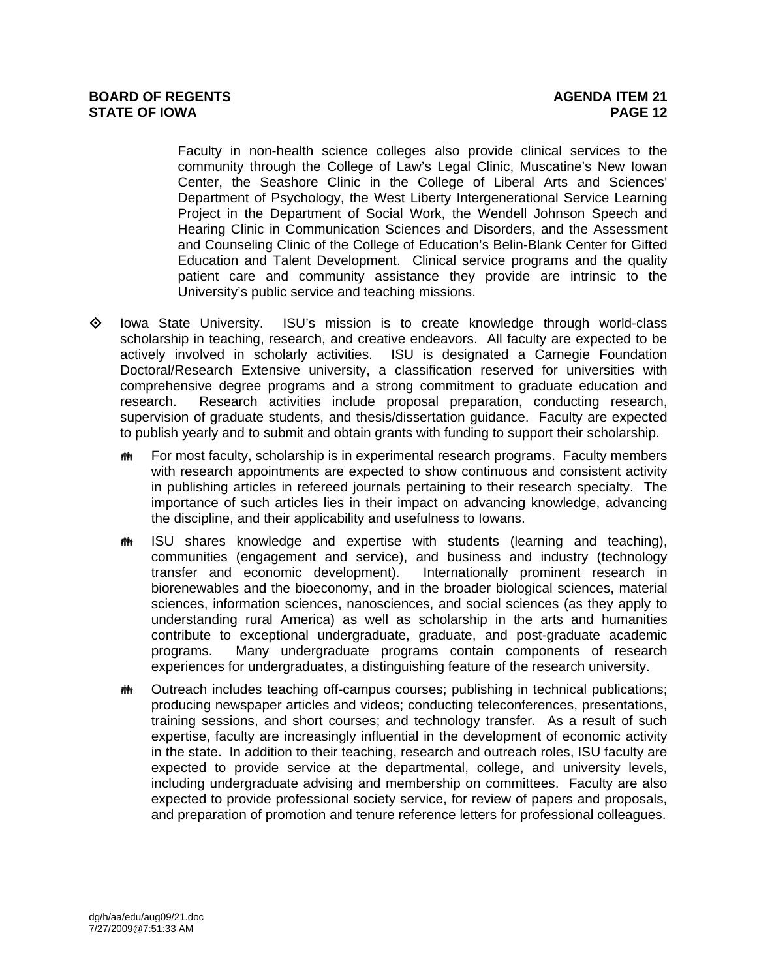Faculty in non-health science colleges also provide clinical services to the community through the College of Law's Legal Clinic, Muscatine's New Iowan Center, the Seashore Clinic in the College of Liberal Arts and Sciences' Department of Psychology, the West Liberty Intergenerational Service Learning Project in the Department of Social Work, the Wendell Johnson Speech and Hearing Clinic in Communication Sciences and Disorders, and the Assessment and Counseling Clinic of the College of Education's Belin-Blank Center for Gifted Education and Talent Development. Clinical service programs and the quality patient care and community assistance they provide are intrinsic to the University's public service and teaching missions.

- $\diamond$  lowa State University. ISU's mission is to create knowledge through world-class scholarship in teaching, research, and creative endeavors. All faculty are expected to be actively involved in scholarly activities. ISU is designated a Carnegie Foundation Doctoral/Research Extensive university, a classification reserved for universities with comprehensive degree programs and a strong commitment to graduate education and research. Research activities include proposal preparation, conducting research, supervision of graduate students, and thesis/dissertation guidance. Faculty are expected to publish yearly and to submit and obtain grants with funding to support their scholarship.
	- **##** For most faculty, scholarship is in experimental research programs. Faculty members with research appointments are expected to show continuous and consistent activity in publishing articles in refereed journals pertaining to their research specialty. The importance of such articles lies in their impact on advancing knowledge, advancing the discipline, and their applicability and usefulness to Iowans.
	- **##** ISU shares knowledge and expertise with students (learning and teaching), communities (engagement and service), and business and industry (technology transfer and economic development). Internationally prominent research in biorenewables and the bioeconomy, and in the broader biological sciences, material sciences, information sciences, nanosciences, and social sciences (as they apply to understanding rural America) as well as scholarship in the arts and humanities contribute to exceptional undergraduate, graduate, and post-graduate academic programs. Many undergraduate programs contain components of research experiences for undergraduates, a distinguishing feature of the research university.
	- **##** Outreach includes teaching off-campus courses; publishing in technical publications; producing newspaper articles and videos; conducting teleconferences, presentations, training sessions, and short courses; and technology transfer. As a result of such expertise, faculty are increasingly influential in the development of economic activity in the state. In addition to their teaching, research and outreach roles, ISU faculty are expected to provide service at the departmental, college, and university levels, including undergraduate advising and membership on committees. Faculty are also expected to provide professional society service, for review of papers and proposals, and preparation of promotion and tenure reference letters for professional colleagues.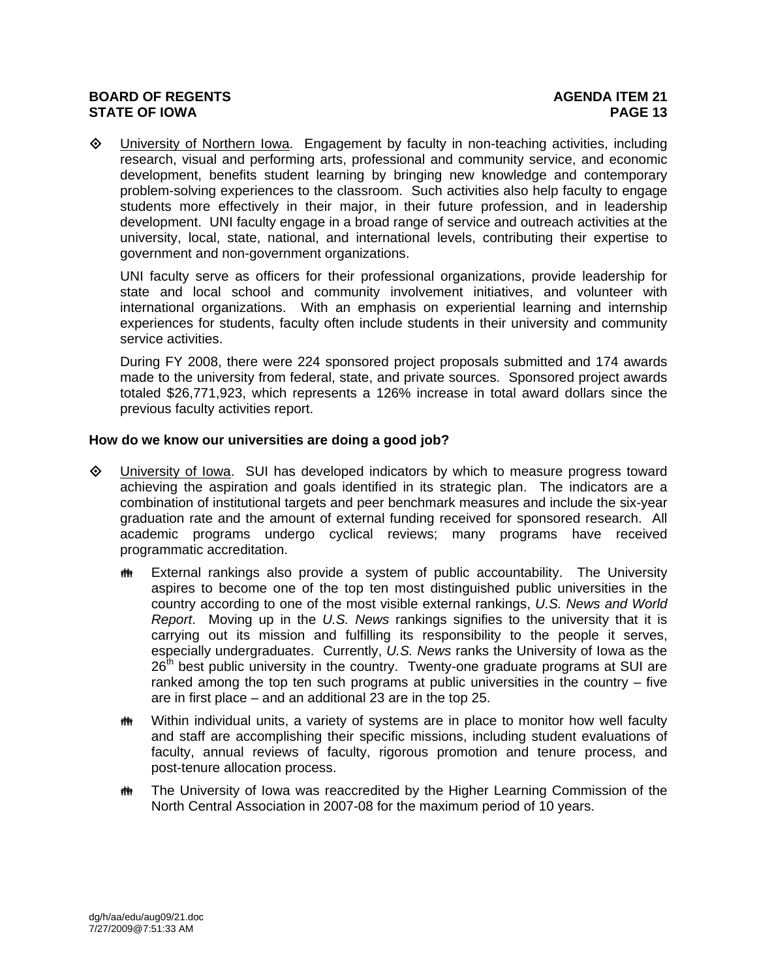University of Northern Iowa. Engagement by faculty in non-teaching activities, including research, visual and performing arts, professional and community service, and economic development, benefits student learning by bringing new knowledge and contemporary problem-solving experiences to the classroom. Such activities also help faculty to engage students more effectively in their major, in their future profession, and in leadership development. UNI faculty engage in a broad range of service and outreach activities at the university, local, state, national, and international levels, contributing their expertise to government and non-government organizations.

UNI faculty serve as officers for their professional organizations, provide leadership for state and local school and community involvement initiatives, and volunteer with international organizations. With an emphasis on experiential learning and internship experiences for students, faculty often include students in their university and community service activities.

During FY 2008, there were 224 sponsored project proposals submitted and 174 awards made to the university from federal, state, and private sources. Sponsored project awards totaled \$26,771,923, which represents a 126% increase in total award dollars since the previous faculty activities report.

# **How do we know our universities are doing a good job?**

- University of Iowa. SUI has developed indicators by which to measure progress toward achieving the aspiration and goals identified in its strategic plan. The indicators are a combination of institutional targets and peer benchmark measures and include the six-year graduation rate and the amount of external funding received for sponsored research. All academic programs undergo cyclical reviews; many programs have received programmatic accreditation.
	- External rankings also provide a system of public accountability. The University aspires to become one of the top ten most distinguished public universities in the country according to one of the most visible external rankings, *U.S. News and World Report*. Moving up in the *U.S. News* rankings signifies to the university that it is carrying out its mission and fulfilling its responsibility to the people it serves, especially undergraduates. Currently, *U.S. News* ranks the University of Iowa as the  $26<sup>th</sup>$  best public university in the country. Twenty-one graduate programs at SUI are ranked among the top ten such programs at public universities in the country – five are in first place – and an additional 23 are in the top 25.
	- Within individual units, a variety of systems are in place to monitor how well faculty and staff are accomplishing their specific missions, including student evaluations of faculty, annual reviews of faculty, rigorous promotion and tenure process, and post-tenure allocation process.
	- **##** The University of Iowa was reaccredited by the Higher Learning Commission of the North Central Association in 2007-08 for the maximum period of 10 years.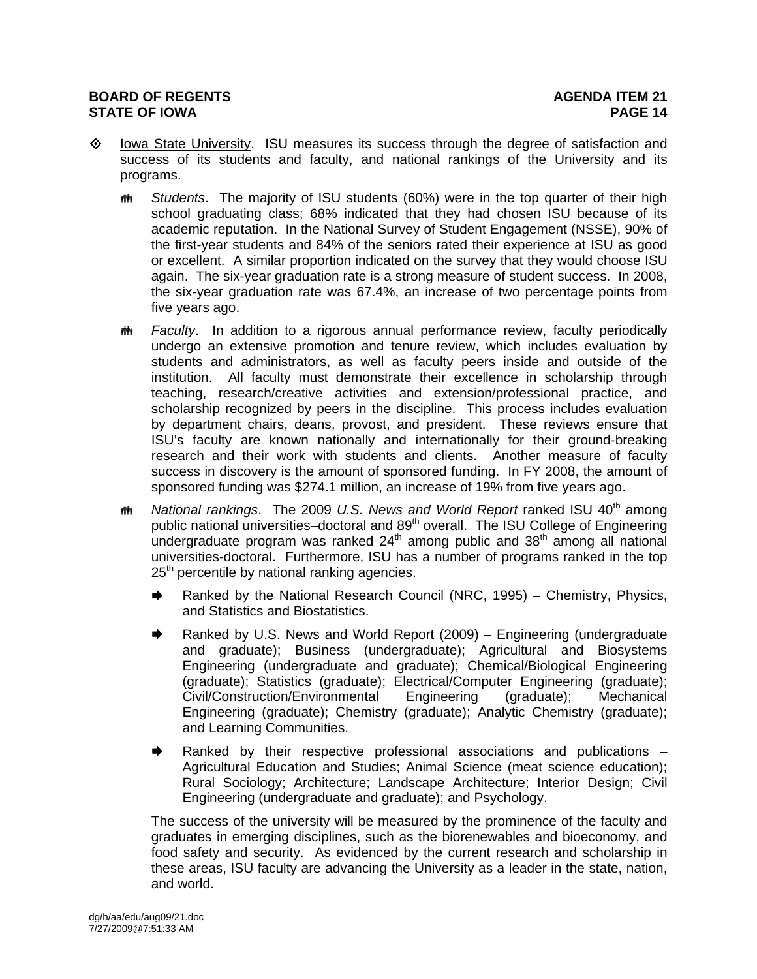- $\diamond$  Iowa State University. ISU measures its success through the degree of satisfaction and success of its students and faculty, and national rankings of the University and its programs.
	- *H* Students. The majority of ISU students (60%) were in the top quarter of their high school graduating class; 68% indicated that they had chosen ISU because of its academic reputation. In the National Survey of Student Engagement (NSSE), 90% of the first-year students and 84% of the seniors rated their experience at ISU as good or excellent. A similar proportion indicated on the survey that they would choose ISU again. The six-year graduation rate is a strong measure of student success. In 2008, the six-year graduation rate was 67.4%, an increase of two percentage points from five years ago.
	- **##** Faculty. In addition to a rigorous annual performance review, faculty periodically undergo an extensive promotion and tenure review, which includes evaluation by students and administrators, as well as faculty peers inside and outside of the institution. All faculty must demonstrate their excellence in scholarship through teaching, research/creative activities and extension/professional practice, and scholarship recognized by peers in the discipline. This process includes evaluation by department chairs, deans, provost, and president. These reviews ensure that ISU's faculty are known nationally and internationally for their ground-breaking research and their work with students and clients. Another measure of faculty success in discovery is the amount of sponsored funding. In FY 2008, the amount of sponsored funding was \$274.1 million, an increase of 19% from five years ago.
	- *I***M** National rankings. The 2009 U.S. News and World Report ranked ISU 40<sup>th</sup> among public national universities–doctoral and 89<sup>th</sup> overall. The ISU College of Engineering undergraduate program was ranked  $24<sup>th</sup>$  among public and  $38<sup>th</sup>$  among all national universities-doctoral. Furthermore, ISU has a number of programs ranked in the top 25<sup>th</sup> percentile by national ranking agencies.
		- **★** Ranked by the National Research Council (NRC, 1995) Chemistry, Physics, and Statistics and Biostatistics.
		- Ranked by U.S. News and World Report (2009) Engineering (undergraduate and graduate); Business (undergraduate); Agricultural and Biosystems Engineering (undergraduate and graduate); Chemical/Biological Engineering (graduate); Statistics (graduate); Electrical/Computer Engineering (graduate); Civil/Construction/Environmental Engineering (graduate); Mechanical Engineering (graduate); Chemistry (graduate); Analytic Chemistry (graduate); and Learning Communities.
		- $\rightarrow$  Ranked by their respective professional associations and publications  $-$ Agricultural Education and Studies; Animal Science (meat science education); Rural Sociology; Architecture; Landscape Architecture; Interior Design; Civil Engineering (undergraduate and graduate); and Psychology.

The success of the university will be measured by the prominence of the faculty and graduates in emerging disciplines, such as the biorenewables and bioeconomy, and food safety and security. As evidenced by the current research and scholarship in these areas, ISU faculty are advancing the University as a leader in the state, nation, and world.